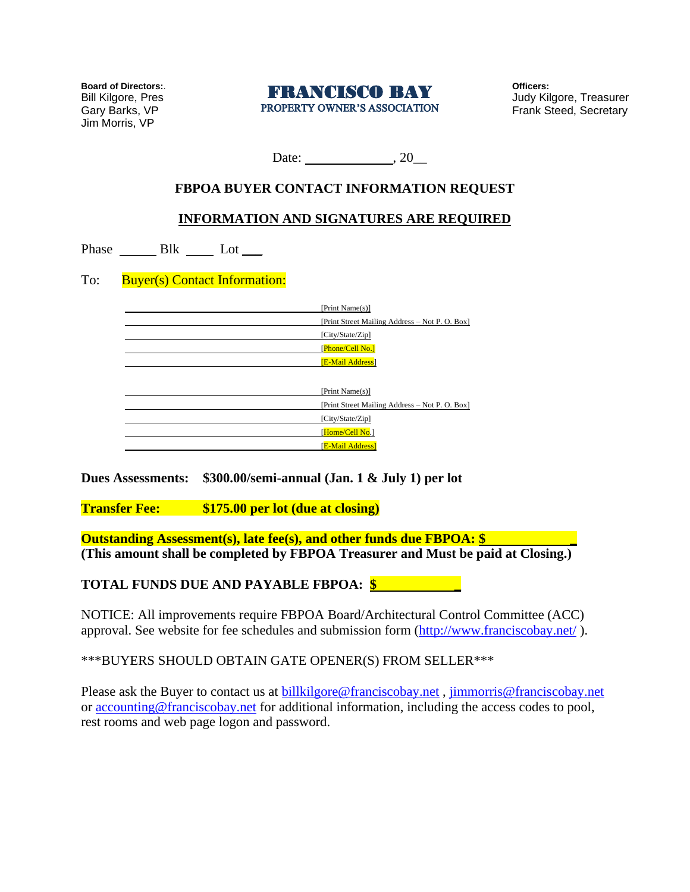**Board of Directors:**. Bill Kilgore, Pres Gary Barks, VP Jim Morris, VP



**Officers:** Judy Kilgore, Treasurer Frank Steed, Secretary

Date: , 20\_\_

## **FBPOA BUYER CONTACT INFORMATION REQUEST**

## **INFORMATION AND SIGNATURES ARE REQUIRED**

Phase  $\_\_\_\$ Blk  $\_\_\_\$  Lot  $\_\_\$ 

To: Buyer(s) Contact Information:

| Print Name(s)]                                |
|-----------------------------------------------|
| Print Street Mailing Address - Not P. O. Box] |
| [City/State/Zip]                              |
| Phone/Cell No.]                               |
| [E-Mail Address]                              |
|                                               |
| Print Name(s)]                                |
| Print Street Mailing Address - Not P. O. Box] |
| [City/State/Zip]                              |
| Home/Cell No.1                                |
| <b>E-Mail Address</b>                         |

**Dues Assessments: \$300.00/semi-annual (Jan. 1 & July 1) per lot**

**Transfer Fee: \$175.00 per lot (due at closing)**

**Outstanding Assessment(s), late fee(s), and other funds due FBPOA: \$ (This amount shall be completed by FBPOA Treasurer and Must be paid at Closing.)** 

**TOTAL FUNDS DUE AND PAYABLE FBPOA: \$ \_** 

NOTICE: All improvements require FBPOA Board/Architectural Control Committee (ACC) approval. See website for fee schedules and submission form [\(http://www.franciscobay.net/](http://www.franciscobay.net/)).

\*\*\*BUYERS SHOULD OBTAIN GATE OPENER(S) FROM SELLER\*\*\*

Please ask the Buyer to contact us at [billkilgore@franciscobay.net](mailto:billkilgore@franciscobay.net) , [jimmorris@franciscobay.net](mailto:jimmorris@franciscobay.net) or [accounting@franciscobay.net](mailto:accounting@franciscobay.net) for additional information, including the access codes to pool, rest rooms and web page logon and password.